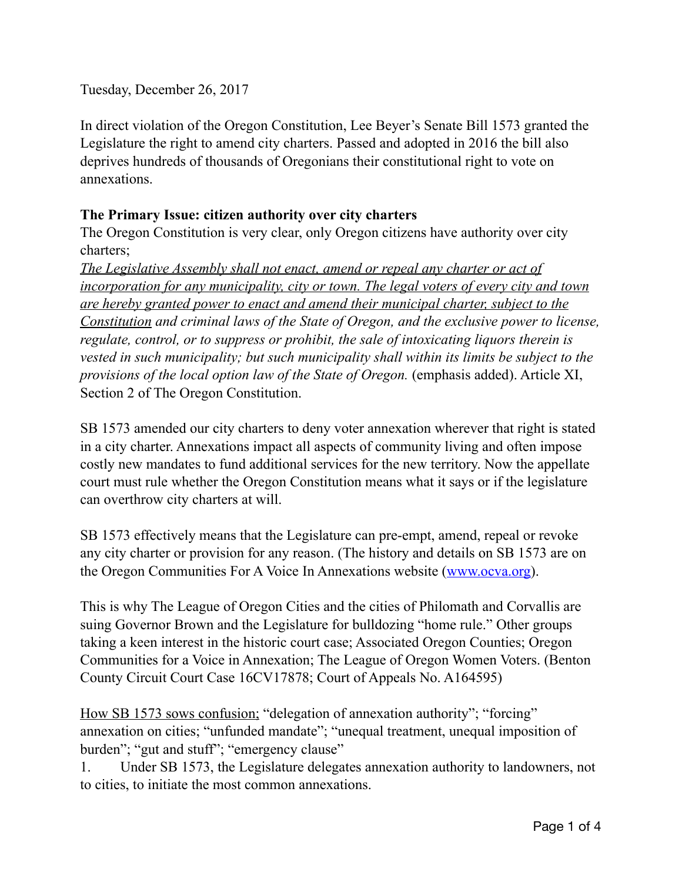Tuesday, December 26, 2017

In direct violation of the Oregon Constitution, Lee Beyer's Senate Bill 1573 granted the Legislature the right to amend city charters. Passed and adopted in 2016 the bill also deprives hundreds of thousands of Oregonians their constitutional right to vote on annexations.

## **The Primary Issue: citizen authority over city charters**

The Oregon Constitution is very clear, only Oregon citizens have authority over city charters;

*The Legislative Assembly shall not enact, amend or repeal any charter or act of incorporation for any municipality, city or town. The legal voters of every city and town are hereby granted power to enact and amend their municipal charter, subject to the Constitution and criminal laws of the State of Oregon, and the exclusive power to license, regulate, control, or to suppress or prohibit, the sale of intoxicating liquors therein is vested in such municipality; but such municipality shall within its limits be subject to the provisions of the local option law of the State of Oregon.* (emphasis added). Article XI, Section 2 of The Oregon Constitution.

SB 1573 amended our city charters to deny voter annexation wherever that right is stated in a city charter. Annexations impact all aspects of community living and often impose costly new mandates to fund additional services for the new territory. Now the appellate court must rule whether the Oregon Constitution means what it says or if the legislature can overthrow city charters at will.

SB 1573 effectively means that the Legislature can pre-empt, amend, repeal or revoke any city charter or provision for any reason. (The history and details on SB 1573 are on the Oregon Communities For A Voice In Annexations website [\(www.ocva.org\)](http://www.ocva.org/).

This is why The League of Oregon Cities and the cities of Philomath and Corvallis are suing Governor Brown and the Legislature for bulldozing "home rule." Other groups taking a keen interest in the historic court case; Associated Oregon Counties; Oregon Communities for a Voice in Annexation; The League of Oregon Women Voters. (Benton County Circuit Court Case 16CV17878; Court of Appeals No. A164595)

How SB 1573 sows confusion; "delegation of annexation authority"; "forcing" annexation on cities; "unfunded mandate"; "unequal treatment, unequal imposition of burden"; "gut and stuff"; "emergency clause"

1. Under SB 1573, the Legislature delegates annexation authority to landowners, not to cities, to initiate the most common annexations.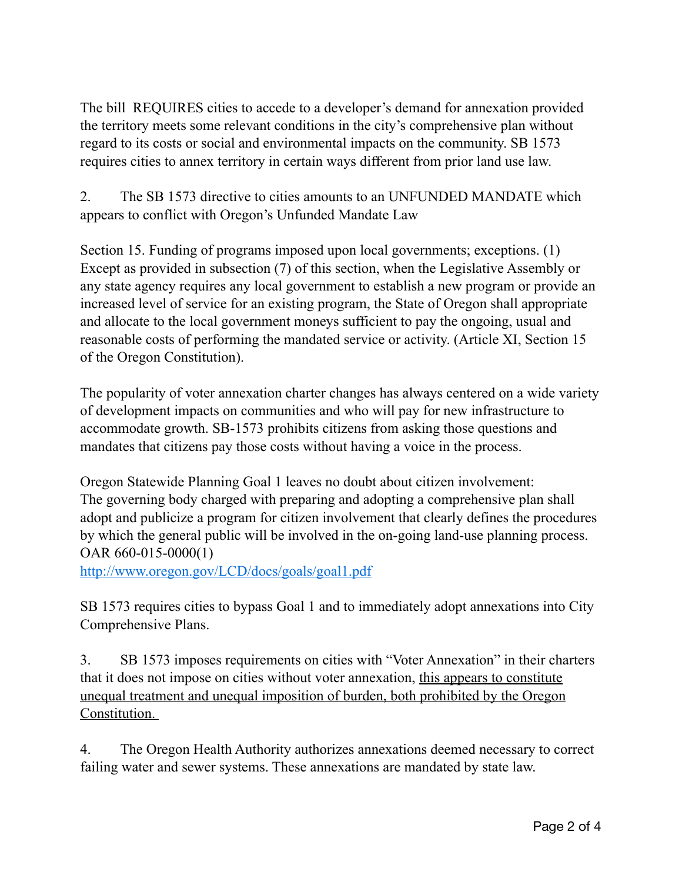The bill REQUIRES cities to accede to a developer's demand for annexation provided the territory meets some relevant conditions in the city's comprehensive plan without regard to its costs or social and environmental impacts on the community. SB 1573 requires cities to annex territory in certain ways different from prior land use law.

2. The SB 1573 directive to cities amounts to an UNFUNDED MANDATE which appears to conflict with Oregon's Unfunded Mandate Law

Section 15. Funding of programs imposed upon local governments; exceptions. (1) Except as provided in subsection (7) of this section, when the Legislative Assembly or any state agency requires any local government to establish a new program or provide an increased level of service for an existing program, the State of Oregon shall appropriate and allocate to the local government moneys sufficient to pay the ongoing, usual and reasonable costs of performing the mandated service or activity. (Article XI, Section 15 of the Oregon Constitution).

The popularity of voter annexation charter changes has always centered on a wide variety of development impacts on communities and who will pay for new infrastructure to accommodate growth. SB-1573 prohibits citizens from asking those questions and mandates that citizens pay those costs without having a voice in the process.

Oregon Statewide Planning Goal 1 leaves no doubt about citizen involvement: The governing body charged with preparing and adopting a comprehensive plan shall adopt and publicize a program for citizen involvement that clearly defines the procedures by which the general public will be involved in the on-going land-use planning process. OAR 660-015-0000(1)

<http://www.oregon.gov/LCD/docs/goals/goal1.pdf>

SB 1573 requires cities to bypass Goal 1 and to immediately adopt annexations into City Comprehensive Plans.

3. SB 1573 imposes requirements on cities with "Voter Annexation" in their charters that it does not impose on cities without voter annexation, this appears to constitute unequal treatment and unequal imposition of burden, both prohibited by the Oregon Constitution.

4. The Oregon Health Authority authorizes annexations deemed necessary to correct failing water and sewer systems. These annexations are mandated by state law.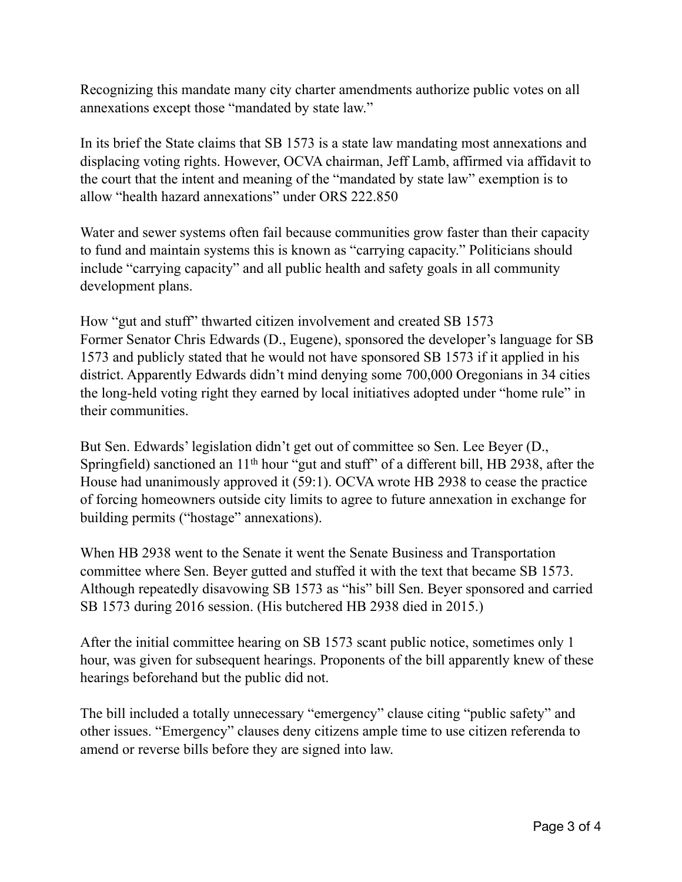Recognizing this mandate many city charter amendments authorize public votes on all annexations except those "mandated by state law."

In its brief the State claims that SB 1573 is a state law mandating most annexations and displacing voting rights. However, OCVA chairman, Jeff Lamb, affirmed via affidavit to the court that the intent and meaning of the "mandated by state law" exemption is to allow "health hazard annexations" under ORS 222.850

Water and sewer systems often fail because communities grow faster than their capacity to fund and maintain systems this is known as "carrying capacity." Politicians should include "carrying capacity" and all public health and safety goals in all community development plans.

How "gut and stuff" thwarted citizen involvement and created SB 1573 Former Senator Chris Edwards (D., Eugene), sponsored the developer's language for SB 1573 and publicly stated that he would not have sponsored SB 1573 if it applied in his district. Apparently Edwards didn't mind denying some 700,000 Oregonians in 34 cities the long-held voting right they earned by local initiatives adopted under "home rule" in their communities.

But Sen. Edwards' legislation didn't get out of committee so Sen. Lee Beyer (D., Springfield) sanctioned an 11<sup>th</sup> hour "gut and stuff" of a different bill, HB 2938, after the House had unanimously approved it (59:1). OCVA wrote HB 2938 to cease the practice of forcing homeowners outside city limits to agree to future annexation in exchange for building permits ("hostage" annexations).

When HB 2938 went to the Senate it went the Senate Business and Transportation committee where Sen. Beyer gutted and stuffed it with the text that became SB 1573. Although repeatedly disavowing SB 1573 as "his" bill Sen. Beyer sponsored and carried SB 1573 during 2016 session. (His butchered HB 2938 died in 2015.)

After the initial committee hearing on SB 1573 scant public notice, sometimes only 1 hour, was given for subsequent hearings. Proponents of the bill apparently knew of these hearings beforehand but the public did not.

The bill included a totally unnecessary "emergency" clause citing "public safety" and other issues. "Emergency" clauses deny citizens ample time to use citizen referenda to amend or reverse bills before they are signed into law.